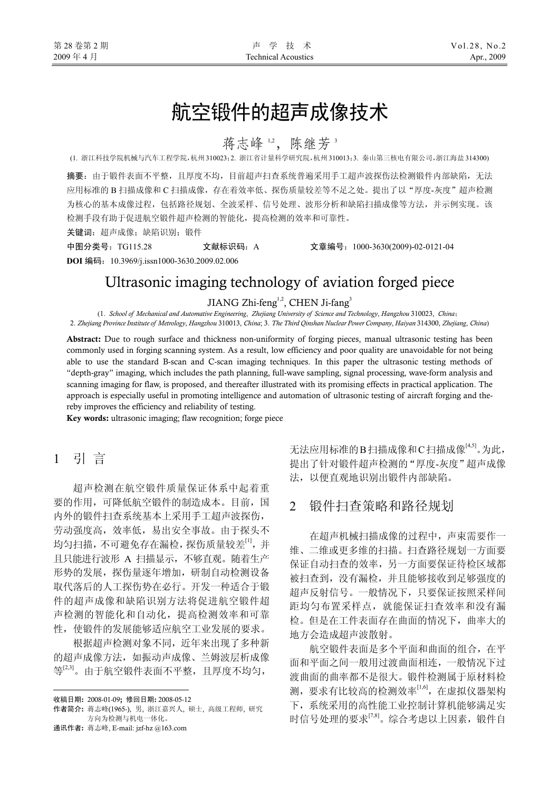# 航空锻件的超声成像技术

蒋志峰 1,2, 陈继芳 3

(1. 浙江科技学院机械与汽车工程学院,杭州 310023;2. 浙江省计量科学研究院,杭州 310013;3. 秦山第三核电有限公司,浙江海盐 314300)

摘要:由于锻件表面不平整,且厚度不均,目前超声扫查系统普遍采用手工超声波探伤法检测锻件内部缺陷,无法 应用标准的 B 扫描成像和 C 扫描成像,存在着效率低、探伤质量较差等不足之处。提出了以"厚度-灰度"超声检测 为核心的基本成像过程,包括路径规划、全波采样、信号处理、波形分析和缺陷扫描成像等方法,并示例实现。该 检测手段有助于促进航空锻件超声检测的智能化,提高检测的效率和可靠性。

关键词:超声成像;缺陷识别;锻件

中图分类号:TG115.28 文献标识码:A 文章编号:1000-3630(2009)-02-0121-04

**DOI** 编码:10.3969/j.issn1000-3630.2009.02.006

# Ultrasonic imaging technology of aviation forged piece

JIANG Zhi-feng<sup>1,2</sup>, CHEN Ji-fang<sup>3</sup>

(1. *School of Mechanical and Automative Engineering*, *Zhejiang University of Science and Technology*, *Hangzhou* 310023, *China*; 2. *Zhejiang Province Institute of Metrology*, *Hangzhou* 310013, *China*; 3. *The Third Qinshan Nuclear Power Company*, *Haiyan* 314300, *Zhejiang*, *China*)

Abstract: Due to rough surface and thickness non-uniformity of forging pieces, manual ultrasonic testing has been commonly used in forging scanning system. As a result, low efficiency and poor quality are unavoidable for not being able to use the standard B-scan and C-scan imaging techniques. In this paper the ultrasonic testing methods of "depth-gray" imaging, which includes the path planning, full-wave sampling, signal processing, wave-form analysis and scanning imaging for flaw, is proposed, and thereafter illustrated with its promising effects in practical application. The approach is especially useful in promoting intelligence and automation of ultrasonic testing of aircraft forging and thereby improves the efficiency and reliability of testing.

Key words: ultrasonic imaging; flaw recognition; forge piece

# 1引 言

超声检测在航空锻件质量保证体系中起着重 要的作用,可降低航空锻件的制造成本。目前,国 内外的锻件扫查系统基本上采用手工超声波探伤, 劳动强度高,效率低,易出安全事故。由于探头不 均匀扫描,不可避免存在漏检,探伤质量较差[1],并 且只能进行波形 A 扫描显示,不够直观。随着生产 形势的发展,探伤量逐年增加,研制自动检测设备 取代落后的人工探伤势在必行。开发一种适合于锻 件的超声成像和缺陷识别方法将促进航空锻件超 声检测的智能化和自动化,提高检测效率和可靠 性,使锻件的发展能够适应航空工业发展的要求。

根据超声检测对象不同,近年来出现了多种新 的超声成像方法,如振动声成像、兰姆波层析成像 等[2,3]。由于航空锻件表面不平整,且厚度不均匀,

 $\overline{a}$ 

通讯作者: 蒋志峰, E-mail: jzf-hz @163.com

无法应用标准的B扫描成像和C扫描成像<sup>[4,5]</sup>。为此, 提出了针对锻件超声检测的"厚度-灰度"超声成像 法,以便直观地识别出锻件内部缺陷。

# 2 锻件扫查策略和路径规划

在超声机械扫描成像的过程中,声束需要作一 维、二维或更多维的扫描。扫查路径规划一方面要 保证自动扫查的效率,另一方面要保证待检区域都 被扫查到,没有漏检,并且能够接收到足够强度的 超声反射信号。一般情况下,只要保证按照采样间 距均匀布置采样点,就能保证扫查效率和没有漏 检。但是在工件表面存在曲面的情况下,曲率大的 地方会造成超声波散射。

航空锻件表面是多个平面和曲面的组合,在平 面和平面之间一般用过渡曲面相连,一般情况下过 渡曲面的曲率都不是很大。锻件检测属于原材料检 测,要求有比较高的检测效率[1,6], 在虚拟仪器架构 下,系统采用的高性能工业控制计算机能够满足实 时信号处理的要求[7,8]。综合考虑以上因素,锻件自

收稿日期: 2008-01-09; 修回日期: 2008-05-12

作者简介: 蒋志峰(1965-), 男, 浙江嘉兴人, 硕士, 高级工程师, 研究 方向为检测与机电一体化。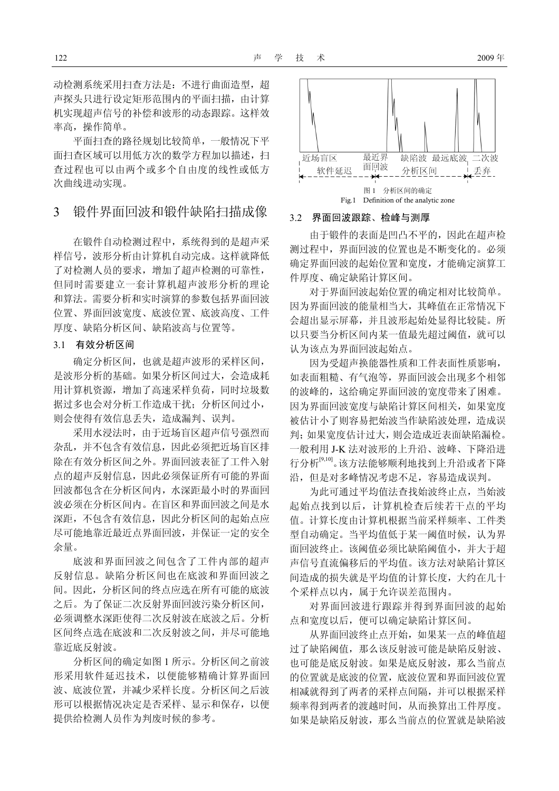动检测系统采用扫查方法是: 不进行曲面造型, 超 声探头只进行设定矩形范围内的平面扫描,由计算 机实现超声信号的补偿和波形的动态跟踪。这样效 率高,操作简单。

平面扫查的路径规划比较简单,一般情况下平 面扫查区域可以用低方次的数学方程加以描述, 扫 查过程也可以由两个或多个自由度的线性或低方 次曲线进动实现。

## 3 锻件界面回波和锻件缺陷扫描成像

在锻件自动检测过程中,系统得到的是超声采 样信号,波形分析由计算机自动完成。这样就降低 了对检测人员的要求,增加了超声检测的可靠性, 但同时需要建立一套计算机超声波形分析的理论 和算法。需要分析和实时演算的参数包括界面回波 位置、界面回波宽度、底波位置、底波高度、工件 厚度、缺陷分析区间、缺陷波高与位置等。

### 3.1 有效分析区间

确定分析区间,也就是超声波形的采样区间, 是波形分析的基础。如果分析区间过大,会造成耗 用计算机资源,增加了高速采样负荷,同时垃圾数 据过多也会对分析工作造成干扰;分析区间过小, 则会使得有效信息丢失,造成漏判、误判。

采用水浸法时,由于近场盲区超声信号强烈而 杂乱,并不包含有效信息,因此必须把近场盲区排 除在有效分析区间之外。界面回波表征了工件入射 点的超声反射信息,因此必须保证所有可能的界面 回波都包含在分析区间内,水深距最小时的界面回 波必须在分析区间内。在盲区和界面回波之间是水 深距,不包含有效信息,因此分析区间的起始点应 尽可能地靠近最近点界面回波,并保证一定的安全 余量。

底波和界面回波之间包含了工件内部的超声 反射信息。缺陷分析区间也在底波和界面回波之 间。因此,分析区间的终点应选在所有可能的底波 之后。为了保证二次反射界面回波污染分析区间, 必须调整水深距使得二次反射波在底波之后。分析 区间终点选在底波和二次反射波之间,并尽可能地 靠近底反射波。

分析区间的确定如图 1 所示。分析区间之前波 形采用软件延迟技术,以便能够精确计算界面回 波、底波位置,并减少采样长度。分析区间之后波 形可以根据情况决定是否采样、显示和保存,以便 提供给检测人员作为判废时候的参考。



#### 3.2 界面回波跟踪、检峰与测厚

由于锻件的表面是凹凸不平的,因此在超声检 测过程中,界面回波的位置也是不断变化的。必须 确定界面回波的起始位置和宽度,才能确定演算工 件厚度、确定缺陷计算区间。

对于界面回波起始位置的确定相对比较简单。 因为界面回波的能量相当大,其峰值在正常情况下 会超出显示屏幕,并且波形起始处显得比较陡。所 以只要当分析区间内某一值最先超过阈值,就可以 认为该点为界面回波起始点。

因为受超声换能器性质和工件表面性质影响, 如表面粗糙、有气泡等,界面回波会出现多个相邻 的波峰的,这给确定界面回波的宽度带来了困难。 因为界面回波宽度与缺陷计算区间相关,如果宽度 被估计小了则容易把始波当作缺陷波处理,造成误 判;如果宽度估计过大,则会造成近表面缺陷漏检。 一般利用 J-K 法对波形的上升沿、波峰、下降沿进 行分析[9,10]。该方法能够顺利地找到上升沿或者下降 沿,但是对多峰情况考虑不足,容易造成误判。

为此可通过平均值法查找始波终止点,当始波 起始点找到以后,计算机检查后续若干点的平均 值。计算长度由计算机根据当前采样频率、工件类 型自动确定。当平均值低于某一阈值时候,认为界 面回波终止。该阈值必须比缺陷阈值小,并大于超 声信号直流偏移后的平均值。该方法对缺陷计算区 间造成的损失就是平均值的计算长度,大约在几十 个采样点以内,属于允许误差范围内。

对界面回波进行跟踪并得到界面回波的起始 点和宽度以后,便可以确定缺陷计算区间。

从界面回波终止点开始,如果某一点的峰值超 过了缺陷阈值,那么该反射波可能是缺陷反射波、 也可能是底反射波。如果是底反射波,那么当前点 的位置就是底波的位置,底波位置和界面回波位置 相减就得到了两者的采样点间隔,并可以根据采样 频率得到两者的渡越时间,从而换算出工件厚度。 如果是缺陷反射波,那么当前点的位置就是缺陷波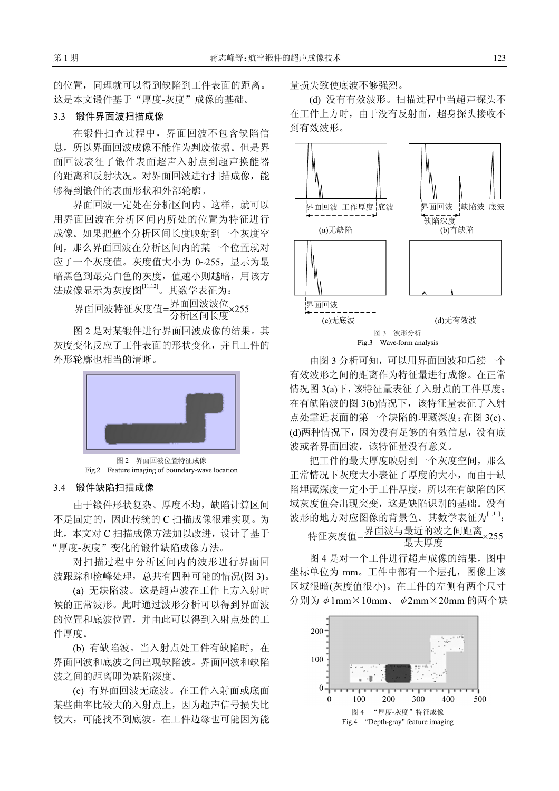的位置,同理就可以得到缺陷到工件表面的距离。 这是本文锻件基于"厚度-灰度"成像的基础。

#### 3.3 锻件界面波扫描成像

在锻件扫查过程中,界面回波不包含缺陷信 息,所以界面回波成像不能作为判废依据。但是界 面回波表征了锻件表面超声入射点到超声换能器 的距离和反射状况。对界面回波进行扫描成像,能 够得到锻件的表面形状和外部轮廓。

界面回波一定处在分析区间内。这样,就可以 用界面回波在分析区间内所处的位置为特征进行 成像。如果把整个分析区间长度映射到一个灰度空 间,那么界面回波在分析区间内的某一个位置就对 应了一个灰度值。灰度值大小为 0~255,显示为最 暗黑色到最亮白色的灰度,值越小则越暗,用该方 法成像显示为灰度图[11,12]。其数学表征为:

界面回波特征灰度值=界面回波波位<br>- ×255 网络核菌素

图 2 是对某锻件进行界面回波成像的结果。其 灰度变化反应了工件表面的形状变化,并且工件的 外形轮廓也相当的清晰。



图 2 界面回波位置特征成像 Fig.2 Feature imaging of boundary-wave location

#### 3.4 锻件缺陷扫描成像

由于锻件形状复杂、厚度不均,缺陷计算区间 不是固定的,因此传统的 C 扫描成像很难实现。为 此,本文对 C 扫描成像方法加以改进,设计了基于 "厚度-灰度"变化的锻件缺陷成像方法。

对扫描过程中分析区间内的波形进行界面回 波跟踪和检峰处理,总共有四种可能的情况(图 3)。

(a) 无缺陷波。这是超声波在工件上方入射时 候的正常波形。此时通过波形分析可以得到界面波 的位置和底波位置,并由此可以得到入射点处的工 件厚度。

(b) 有缺陷波。当入射点处工件有缺陷时,在 界面回波和底波之间出现缺陷波。界面回波和缺陷 波之间的距离即为缺陷深度。

(c) 有界面回波无底波。在工件入射面或底面 某些曲率比较大的入射点上,因为超声信号损失比 较大,可能找不到底波。在工件边缘也可能因为能 量损失致使底波不够强烈。

(d) 没有有效波形。扫描过程中当超声探头不 在工件上方时,由于没有反射面,超身探头接收不 到有效波形。



由图 3 分析可知,可以用界面回波和后续一个 有效波形之间的距离作为特征量进行成像。在正常 情况图 3(a)下,该特征量表征了入射点的工件厚度; 在有缺陷波的图 3(b)情况下,该特征量表征了入射 点处靠近表面的第一个缺陷的埋藏深度;在图 3(c)、 (d)两种情况下,因为没有足够的有效信息,没有底 波或者界面回波,该特征量没有意义。

把工件的最大厚度映射到一个灰度空间,那么 正常情况下灰度大小表征了厚度的大小,而由于缺 陷埋藏深度一定小于工件厚度,所以在有缺陷的区 域灰度值会出现突变,这是缺陷识别的基础。没有 波形的地方对应图像的背景色。其数学表征为[1,11]:

特征灰度值=界面波与最近的波之间距离 ×255

图 4 是对一个工件进行超声成像的结果,图中 坐标单位为 mm。工件中部有一个层孔,图像上该 区域很暗(灰度值很小)。在工件的左侧有两个尺寸 分别为φ1mm×10mm、φ2mm×20mm 的两个缺